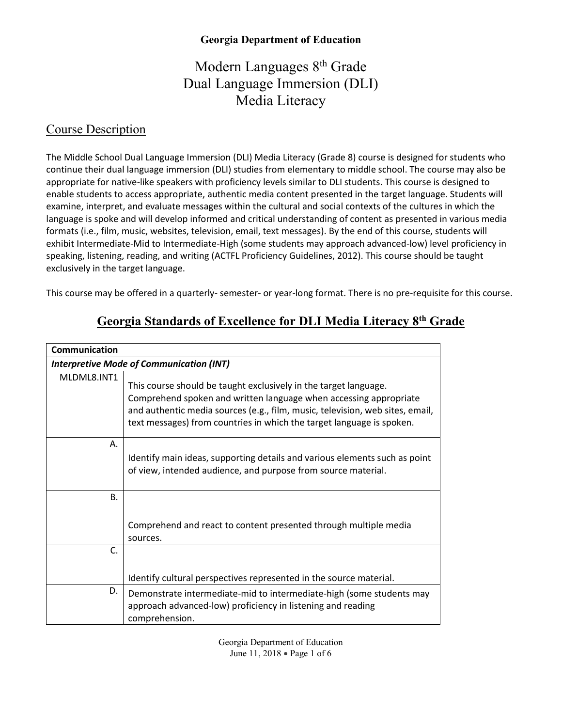# Modern Languages 8<sup>th</sup> Grade Dual Language Immersion (DLI) Media Literacy

#### Course Description

The Middle School Dual Language Immersion (DLI) Media Literacy (Grade 8) course is designed for students who continue their dual language immersion (DLI) studies from elementary to middle school. The course may also be appropriate for native-like speakers with proficiency levels similar to DLI students. This course is designed to enable students to access appropriate, authentic media content presented in the target language. Students will examine, interpret, and evaluate messages within the cultural and social contexts of the cultures in which the language is spoke and will develop informed and critical understanding of content as presented in various media formats (i.e., film, music, websites, television, email, text messages). By the end of this course, students will exhibit Intermediate-Mid to Intermediate-High (some students may approach advanced-low) level proficiency in speaking, listening, reading, and writing (ACTFL Proficiency Guidelines, 2012). This course should be taught exclusively in the target language.

This course may be offered in a quarterly- semester- or year-long format. There is no pre-requisite for this course.

| Communication<br><b>Interpretive Mode of Communication (INT)</b> |                                                                                                                                                       |  |
|------------------------------------------------------------------|-------------------------------------------------------------------------------------------------------------------------------------------------------|--|
|                                                                  |                                                                                                                                                       |  |
| А.                                                               | Identify main ideas, supporting details and various elements such as point<br>of view, intended audience, and purpose from source material.           |  |
| Β.                                                               | Comprehend and react to content presented through multiple media                                                                                      |  |
| C.                                                               | sources.                                                                                                                                              |  |
|                                                                  | Identify cultural perspectives represented in the source material.                                                                                    |  |
| D.                                                               | Demonstrate intermediate-mid to intermediate-high (some students may<br>approach advanced-low) proficiency in listening and reading<br>comprehension. |  |

## **Georgia Standards of Excellence for DLI Media Literacy 8th Grade**

Georgia Department of Education June 11, 2018 • Page 1 of 6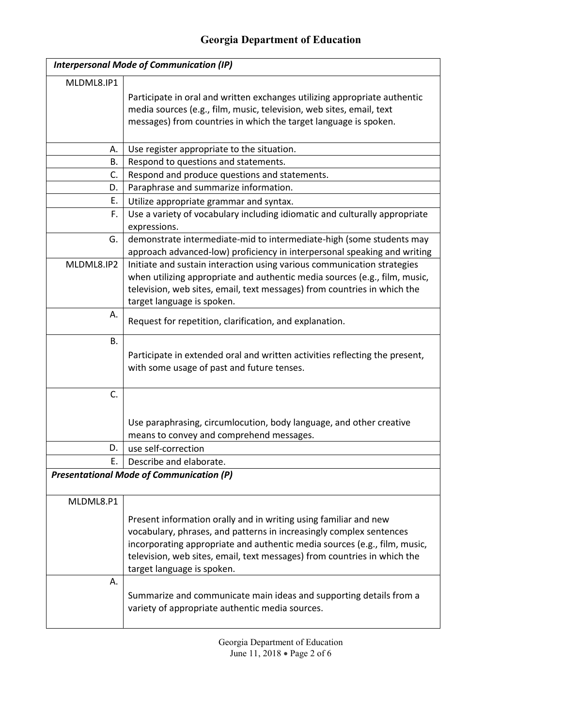| <b>Interpersonal Mode of Communication (IP)</b> |                                                                                                                                                  |  |
|-------------------------------------------------|--------------------------------------------------------------------------------------------------------------------------------------------------|--|
| MLDML8.IP1                                      |                                                                                                                                                  |  |
|                                                 | Participate in oral and written exchanges utilizing appropriate authentic                                                                        |  |
|                                                 | media sources (e.g., film, music, television, web sites, email, text                                                                             |  |
|                                                 | messages) from countries in which the target language is spoken.                                                                                 |  |
|                                                 |                                                                                                                                                  |  |
| Α.                                              | Use register appropriate to the situation.                                                                                                       |  |
| В.                                              | Respond to questions and statements.                                                                                                             |  |
| C.                                              | Respond and produce questions and statements.                                                                                                    |  |
| D.                                              | Paraphrase and summarize information.                                                                                                            |  |
| Ε.                                              | Utilize appropriate grammar and syntax.                                                                                                          |  |
| F.                                              | Use a variety of vocabulary including idiomatic and culturally appropriate<br>expressions.                                                       |  |
| G.                                              | demonstrate intermediate-mid to intermediate-high (some students may<br>approach advanced-low) proficiency in interpersonal speaking and writing |  |
| MLDML8.IP2                                      | Initiate and sustain interaction using various communication strategies                                                                          |  |
|                                                 | when utilizing appropriate and authentic media sources (e.g., film, music,                                                                       |  |
|                                                 | television, web sites, email, text messages) from countries in which the                                                                         |  |
|                                                 | target language is spoken.                                                                                                                       |  |
| Α.                                              | Request for repetition, clarification, and explanation.                                                                                          |  |
| В.                                              |                                                                                                                                                  |  |
|                                                 | Participate in extended oral and written activities reflecting the present,                                                                      |  |
|                                                 | with some usage of past and future tenses.                                                                                                       |  |
|                                                 |                                                                                                                                                  |  |
| C.                                              |                                                                                                                                                  |  |
|                                                 | Use paraphrasing, circumlocution, body language, and other creative                                                                              |  |
|                                                 | means to convey and comprehend messages.                                                                                                         |  |
| D.                                              | use self-correction                                                                                                                              |  |
| Ε.                                              | Describe and elaborate.                                                                                                                          |  |
| <b>Presentational Mode of Communication (P)</b> |                                                                                                                                                  |  |
|                                                 |                                                                                                                                                  |  |
| MLDML8.P1                                       |                                                                                                                                                  |  |
|                                                 | Present information orally and in writing using familiar and new                                                                                 |  |
|                                                 | vocabulary, phrases, and patterns in increasingly complex sentences                                                                              |  |
|                                                 | incorporating appropriate and authentic media sources (e.g., film, music,                                                                        |  |
|                                                 | television, web sites, email, text messages) from countries in which the                                                                         |  |
|                                                 | target language is spoken.                                                                                                                       |  |
| А.                                              |                                                                                                                                                  |  |

Summarize and communicate main ideas and supporting details from a variety of appropriate authentic media sources.

> Georgia Department of Education June 11, 2018 • Page 2 of 6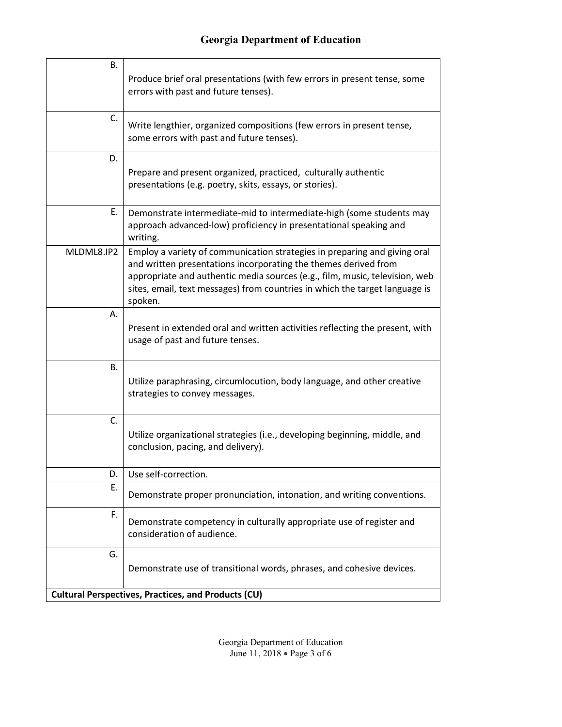| В.                                                         | Produce brief oral presentations (with few errors in present tense, some<br>errors with past and future tenses).                                                                                                                                                                                                      |  |
|------------------------------------------------------------|-----------------------------------------------------------------------------------------------------------------------------------------------------------------------------------------------------------------------------------------------------------------------------------------------------------------------|--|
| C.                                                         | Write lengthier, organized compositions (few errors in present tense,<br>some errors with past and future tenses).                                                                                                                                                                                                    |  |
| D.                                                         | Prepare and present organized, practiced, culturally authentic<br>presentations (e.g. poetry, skits, essays, or stories).                                                                                                                                                                                             |  |
| Е.                                                         | Demonstrate intermediate-mid to intermediate-high (some students may<br>approach advanced-low) proficiency in presentational speaking and<br>writing.                                                                                                                                                                 |  |
| MLDML8.IP2                                                 | Employ a variety of communication strategies in preparing and giving oral<br>and written presentations incorporating the themes derived from<br>appropriate and authentic media sources (e.g., film, music, television, web<br>sites, email, text messages) from countries in which the target language is<br>spoken. |  |
| А.                                                         | Present in extended oral and written activities reflecting the present, with<br>usage of past and future tenses.                                                                                                                                                                                                      |  |
| В.                                                         | Utilize paraphrasing, circumlocution, body language, and other creative<br>strategies to convey messages.                                                                                                                                                                                                             |  |
| C.                                                         | Utilize organizational strategies (i.e., developing beginning, middle, and<br>conclusion, pacing, and delivery).                                                                                                                                                                                                      |  |
| D.                                                         | Use self-correction.                                                                                                                                                                                                                                                                                                  |  |
| Ε.                                                         | Demonstrate proper pronunciation, intonation, and writing conventions.                                                                                                                                                                                                                                                |  |
| F.                                                         | Demonstrate competency in culturally appropriate use of register and<br>consideration of audience.                                                                                                                                                                                                                    |  |
| G.                                                         | Demonstrate use of transitional words, phrases, and cohesive devices.                                                                                                                                                                                                                                                 |  |
| <b>Cultural Perspectives, Practices, and Products (CU)</b> |                                                                                                                                                                                                                                                                                                                       |  |

Georgia Department of Education June 11, 2018 • Page 3 of 6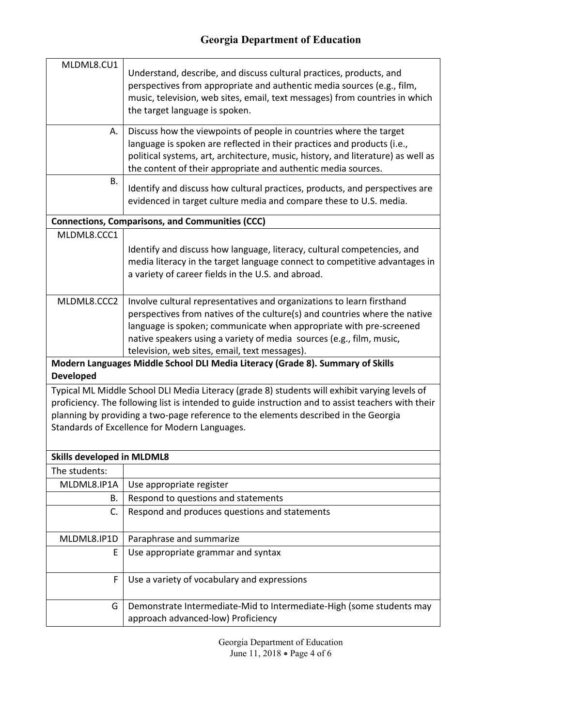| MLDML8.CU1                                                                                                                                                                                                                                                                                                                                  | Understand, describe, and discuss cultural practices, products, and<br>perspectives from appropriate and authentic media sources (e.g., film,<br>music, television, web sites, email, text messages) from countries in which<br>the target language is spoken.                                                                                     |  |
|---------------------------------------------------------------------------------------------------------------------------------------------------------------------------------------------------------------------------------------------------------------------------------------------------------------------------------------------|----------------------------------------------------------------------------------------------------------------------------------------------------------------------------------------------------------------------------------------------------------------------------------------------------------------------------------------------------|--|
| А.                                                                                                                                                                                                                                                                                                                                          | Discuss how the viewpoints of people in countries where the target<br>language is spoken are reflected in their practices and products (i.e.,<br>political systems, art, architecture, music, history, and literature) as well as<br>the content of their appropriate and authentic media sources.                                                 |  |
| В.                                                                                                                                                                                                                                                                                                                                          | Identify and discuss how cultural practices, products, and perspectives are<br>evidenced in target culture media and compare these to U.S. media.                                                                                                                                                                                                  |  |
|                                                                                                                                                                                                                                                                                                                                             | <b>Connections, Comparisons, and Communities (CCC)</b>                                                                                                                                                                                                                                                                                             |  |
| MLDML8.CCC1                                                                                                                                                                                                                                                                                                                                 |                                                                                                                                                                                                                                                                                                                                                    |  |
|                                                                                                                                                                                                                                                                                                                                             | Identify and discuss how language, literacy, cultural competencies, and<br>media literacy in the target language connect to competitive advantages in<br>a variety of career fields in the U.S. and abroad.                                                                                                                                        |  |
| MLDML8.CCC2                                                                                                                                                                                                                                                                                                                                 | Involve cultural representatives and organizations to learn firsthand<br>perspectives from natives of the culture(s) and countries where the native<br>language is spoken; communicate when appropriate with pre-screened<br>native speakers using a variety of media sources (e.g., film, music,<br>television, web sites, email, text messages). |  |
| <b>Developed</b>                                                                                                                                                                                                                                                                                                                            | Modern Languages Middle School DLI Media Literacy (Grade 8). Summary of Skills                                                                                                                                                                                                                                                                     |  |
| Typical ML Middle School DLI Media Literacy (grade 8) students will exhibit varying levels of<br>proficiency. The following list is intended to guide instruction and to assist teachers with their<br>planning by providing a two-page reference to the elements described in the Georgia<br>Standards of Excellence for Modern Languages. |                                                                                                                                                                                                                                                                                                                                                    |  |
| <b>Skills developed in MLDML8</b>                                                                                                                                                                                                                                                                                                           |                                                                                                                                                                                                                                                                                                                                                    |  |
| The students:                                                                                                                                                                                                                                                                                                                               |                                                                                                                                                                                                                                                                                                                                                    |  |
| MLDML8.IP1A                                                                                                                                                                                                                                                                                                                                 | Use appropriate register                                                                                                                                                                                                                                                                                                                           |  |
| В.                                                                                                                                                                                                                                                                                                                                          | Respond to questions and statements                                                                                                                                                                                                                                                                                                                |  |
| C.                                                                                                                                                                                                                                                                                                                                          | Respond and produces questions and statements                                                                                                                                                                                                                                                                                                      |  |
| MLDML8.IP1D                                                                                                                                                                                                                                                                                                                                 | Paraphrase and summarize                                                                                                                                                                                                                                                                                                                           |  |
| E                                                                                                                                                                                                                                                                                                                                           | Use appropriate grammar and syntax                                                                                                                                                                                                                                                                                                                 |  |
| F                                                                                                                                                                                                                                                                                                                                           | Use a variety of vocabulary and expressions                                                                                                                                                                                                                                                                                                        |  |
| G                                                                                                                                                                                                                                                                                                                                           | Demonstrate Intermediate-Mid to Intermediate-High (some students may<br>approach advanced-low) Proficiency                                                                                                                                                                                                                                         |  |

Georgia Department of Education June 11, 2018 • Page 4 of 6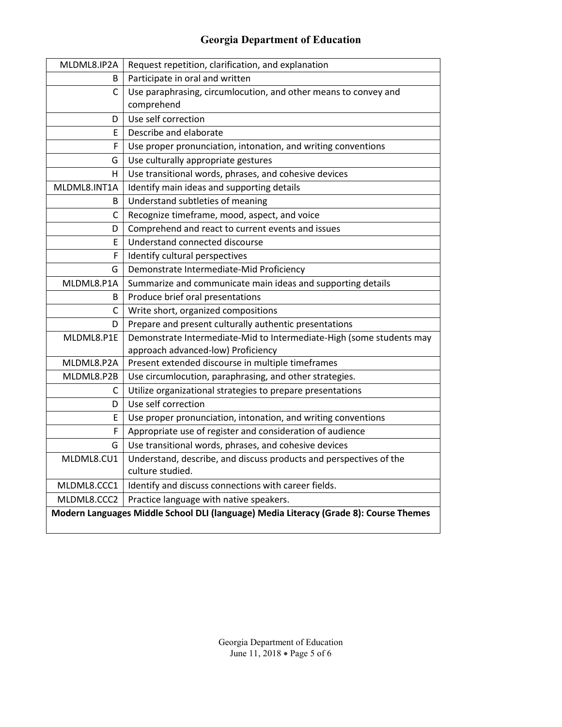| MLDML8.IP2A  | Request repetition, clarification, and explanation                                    |
|--------------|---------------------------------------------------------------------------------------|
| B.           | Participate in oral and written                                                       |
| C            | Use paraphrasing, circumlocution, and other means to convey and                       |
|              | comprehend                                                                            |
| D            | Use self correction                                                                   |
| E            | Describe and elaborate                                                                |
| F            | Use proper pronunciation, intonation, and writing conventions                         |
| G            | Use culturally appropriate gestures                                                   |
| н            | Use transitional words, phrases, and cohesive devices                                 |
| MLDML8.INT1A | Identify main ideas and supporting details                                            |
| B            | Understand subtleties of meaning                                                      |
| С            | Recognize timeframe, mood, aspect, and voice                                          |
| D            | Comprehend and react to current events and issues                                     |
| E            | Understand connected discourse                                                        |
| F            | Identify cultural perspectives                                                        |
| G            | Demonstrate Intermediate-Mid Proficiency                                              |
| MLDML8.P1A   | Summarize and communicate main ideas and supporting details                           |
| B            | Produce brief oral presentations                                                      |
| С            | Write short, organized compositions                                                   |
| D            | Prepare and present culturally authentic presentations                                |
| MLDML8.P1E   | Demonstrate Intermediate-Mid to Intermediate-High (some students may                  |
|              | approach advanced-low) Proficiency                                                    |
| MLDML8.P2A   | Present extended discourse in multiple timeframes                                     |
| MLDML8.P2B   | Use circumlocution, paraphrasing, and other strategies.                               |
| C            | Utilize organizational strategies to prepare presentations                            |
| D            | Use self correction                                                                   |
| E            | Use proper pronunciation, intonation, and writing conventions                         |
| F            | Appropriate use of register and consideration of audience                             |
| G            | Use transitional words, phrases, and cohesive devices                                 |
| MLDML8.CU1   | Understand, describe, and discuss products and perspectives of the                    |
|              | culture studied.                                                                      |
| MLDML8.CCC1  | Identify and discuss connections with career fields.                                  |
| MLDML8.CCC2  | Practice language with native speakers.                                               |
|              | Modern Languages Middle School DLI (language) Media Literacy (Grade 8): Course Themes |

 $\mathsf{l}$